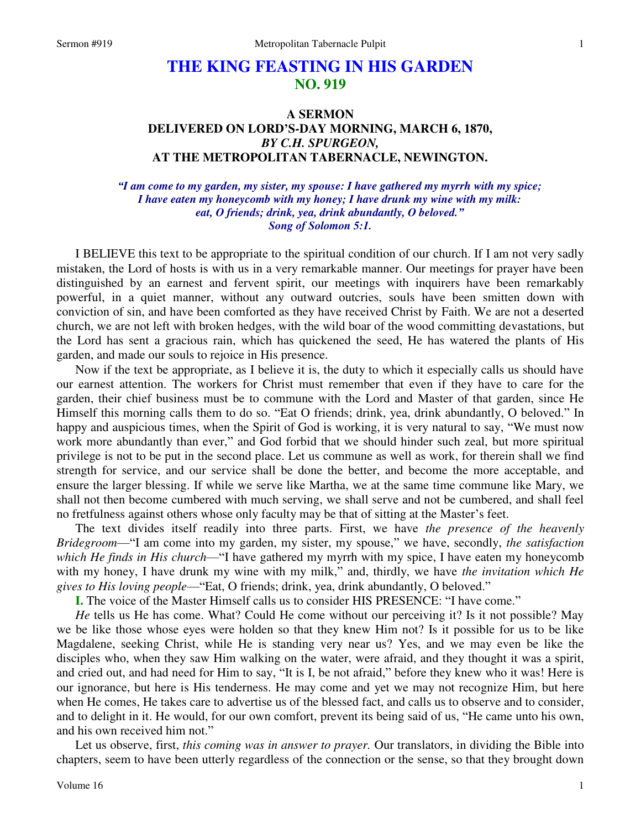## **THE KING FEASTING IN HIS GARDEN NO. 919**

## **A SERMON DELIVERED ON LORD'S-DAY MORNING, MARCH 6, 1870,**  *BY C.H. SPURGEON,*  **AT THE METROPOLITAN TABERNACLE, NEWINGTON.**

*"I am come to my garden, my sister, my spouse: I have gathered my myrrh with my spice; I have eaten my honeycomb with my honey; I have drunk my wine with my milk: eat, O friends; drink, yea, drink abundantly, O beloved." Song of Solomon 5:1.* 

I BELIEVE this text to be appropriate to the spiritual condition of our church. If I am not very sadly mistaken, the Lord of hosts is with us in a very remarkable manner. Our meetings for prayer have been distinguished by an earnest and fervent spirit, our meetings with inquirers have been remarkably powerful, in a quiet manner, without any outward outcries, souls have been smitten down with conviction of sin, and have been comforted as they have received Christ by Faith. We are not a deserted church, we are not left with broken hedges, with the wild boar of the wood committing devastations, but the Lord has sent a gracious rain, which has quickened the seed, He has watered the plants of His garden, and made our souls to rejoice in His presence.

Now if the text be appropriate, as I believe it is, the duty to which it especially calls us should have our earnest attention. The workers for Christ must remember that even if they have to care for the garden, their chief business must be to commune with the Lord and Master of that garden, since He Himself this morning calls them to do so. "Eat O friends; drink, yea, drink abundantly, O beloved." In happy and auspicious times, when the Spirit of God is working, it is very natural to say, "We must now work more abundantly than ever," and God forbid that we should hinder such zeal, but more spiritual privilege is not to be put in the second place. Let us commune as well as work, for therein shall we find strength for service, and our service shall be done the better, and become the more acceptable, and ensure the larger blessing. If while we serve like Martha, we at the same time commune like Mary, we shall not then become cumbered with much serving, we shall serve and not be cumbered, and shall feel no fretfulness against others whose only faculty may be that of sitting at the Master's feet.

The text divides itself readily into three parts. First, we have *the presence of the heavenly Bridegroom*—"I am come into my garden, my sister, my spouse," we have, secondly, *the satisfaction which He finds in His church*—"I have gathered my myrrh with my spice, I have eaten my honeycomb with my honey, I have drunk my wine with my milk," and, thirdly, we have *the invitation which He gives to His loving people*—"Eat, O friends; drink, yea, drink abundantly, O beloved."

**I.** The voice of the Master Himself calls us to consider HIS PRESENCE: "I have come."

*He* tells us He has come. What? Could He come without our perceiving it? Is it not possible? May we be like those whose eyes were holden so that they knew Him not? Is it possible for us to be like Magdalene, seeking Christ, while He is standing very near us? Yes, and we may even be like the disciples who, when they saw Him walking on the water, were afraid, and they thought it was a spirit, and cried out, and had need for Him to say, "It is I, be not afraid," before they knew who it was! Here is our ignorance, but here is His tenderness. He may come and yet we may not recognize Him, but here when He comes, He takes care to advertise us of the blessed fact, and calls us to observe and to consider, and to delight in it. He would, for our own comfort, prevent its being said of us, "He came unto his own, and his own received him not."

Let us observe, first, *this coming was in answer to prayer.* Our translators, in dividing the Bible into chapters, seem to have been utterly regardless of the connection or the sense, so that they brought down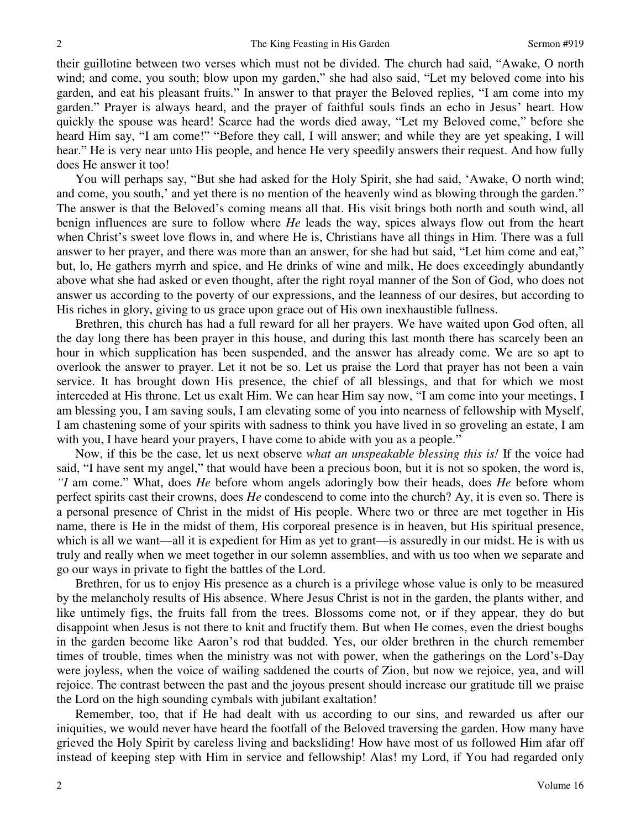their guillotine between two verses which must not be divided. The church had said, "Awake, O north wind; and come, you south; blow upon my garden," she had also said, "Let my beloved come into his garden, and eat his pleasant fruits." In answer to that prayer the Beloved replies, "I am come into my garden." Prayer is always heard, and the prayer of faithful souls finds an echo in Jesus' heart. How quickly the spouse was heard! Scarce had the words died away, "Let my Beloved come," before she heard Him say, "I am come!" "Before they call, I will answer; and while they are yet speaking, I will hear." He is very near unto His people, and hence He very speedily answers their request. And how fully does He answer it too!

You will perhaps say, "But she had asked for the Holy Spirit, she had said, 'Awake, O north wind; and come, you south,' and yet there is no mention of the heavenly wind as blowing through the garden." The answer is that the Beloved's coming means all that. His visit brings both north and south wind, all benign influences are sure to follow where *He* leads the way, spices always flow out from the heart when Christ's sweet love flows in, and where He is, Christians have all things in Him. There was a full answer to her prayer, and there was more than an answer, for she had but said, "Let him come and eat," but, lo, He gathers myrrh and spice, and He drinks of wine and milk, He does exceedingly abundantly above what she had asked or even thought, after the right royal manner of the Son of God, who does not answer us according to the poverty of our expressions, and the leanness of our desires, but according to His riches in glory, giving to us grace upon grace out of His own inexhaustible fullness.

Brethren, this church has had a full reward for all her prayers. We have waited upon God often, all the day long there has been prayer in this house, and during this last month there has scarcely been an hour in which supplication has been suspended, and the answer has already come. We are so apt to overlook the answer to prayer. Let it not be so. Let us praise the Lord that prayer has not been a vain service. It has brought down His presence, the chief of all blessings, and that for which we most interceded at His throne. Let us exalt Him. We can hear Him say now, "I am come into your meetings, I am blessing you, I am saving souls, I am elevating some of you into nearness of fellowship with Myself, I am chastening some of your spirits with sadness to think you have lived in so groveling an estate, I am with you, I have heard your prayers, I have come to abide with you as a people."

Now, if this be the case, let us next observe *what an unspeakable blessing this is!* If the voice had said, "I have sent my angel," that would have been a precious boon, but it is not so spoken, the word is, *"I* am come." What, does *He* before whom angels adoringly bow their heads, does *He* before whom perfect spirits cast their crowns, does *He* condescend to come into the church? Ay, it is even so. There is a personal presence of Christ in the midst of His people. Where two or three are met together in His name, there is He in the midst of them, His corporeal presence is in heaven, but His spiritual presence, which is all we want—all it is expedient for Him as yet to grant—is assuredly in our midst. He is with us truly and really when we meet together in our solemn assemblies, and with us too when we separate and go our ways in private to fight the battles of the Lord.

Brethren, for us to enjoy His presence as a church is a privilege whose value is only to be measured by the melancholy results of His absence. Where Jesus Christ is not in the garden, the plants wither, and like untimely figs, the fruits fall from the trees. Blossoms come not, or if they appear, they do but disappoint when Jesus is not there to knit and fructify them. But when He comes, even the driest boughs in the garden become like Aaron's rod that budded. Yes, our older brethren in the church remember times of trouble, times when the ministry was not with power, when the gatherings on the Lord's-Day were joyless, when the voice of wailing saddened the courts of Zion, but now we rejoice, yea, and will rejoice. The contrast between the past and the joyous present should increase our gratitude till we praise the Lord on the high sounding cymbals with jubilant exaltation!

Remember, too, that if He had dealt with us according to our sins, and rewarded us after our iniquities, we would never have heard the footfall of the Beloved traversing the garden. How many have grieved the Holy Spirit by careless living and backsliding! How have most of us followed Him afar off instead of keeping step with Him in service and fellowship! Alas! my Lord, if You had regarded only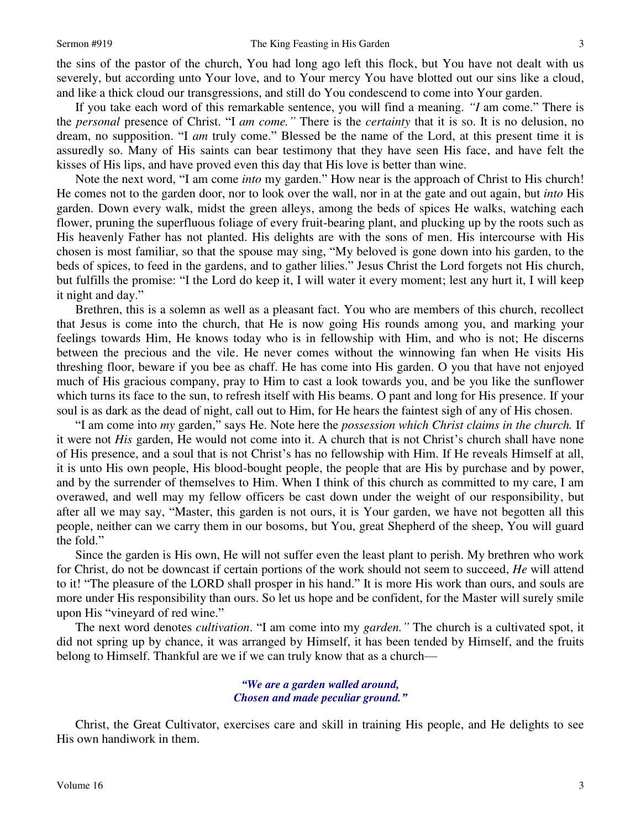the sins of the pastor of the church, You had long ago left this flock, but You have not dealt with us severely, but according unto Your love, and to Your mercy You have blotted out our sins like a cloud, and like a thick cloud our transgressions, and still do You condescend to come into Your garden.

If you take each word of this remarkable sentence, you will find a meaning. *"I* am come." There is the *personal* presence of Christ. "I *am come."* There is the *certainty* that it is so. It is no delusion, no dream, no supposition. "I *am* truly come." Blessed be the name of the Lord, at this present time it is assuredly so. Many of His saints can bear testimony that they have seen His face, and have felt the kisses of His lips, and have proved even this day that His love is better than wine.

Note the next word, "I am come *into* my garden." How near is the approach of Christ to His church! He comes not to the garden door, nor to look over the wall, nor in at the gate and out again, but *into* His garden. Down every walk, midst the green alleys, among the beds of spices He walks, watching each flower, pruning the superfluous foliage of every fruit-bearing plant, and plucking up by the roots such as His heavenly Father has not planted. His delights are with the sons of men. His intercourse with His chosen is most familiar, so that the spouse may sing, "My beloved is gone down into his garden, to the beds of spices, to feed in the gardens, and to gather lilies." Jesus Christ the Lord forgets not His church, but fulfills the promise: "I the Lord do keep it, I will water it every moment; lest any hurt it, I will keep it night and day."

Brethren, this is a solemn as well as a pleasant fact. You who are members of this church, recollect that Jesus is come into the church, that He is now going His rounds among you, and marking your feelings towards Him, He knows today who is in fellowship with Him, and who is not; He discerns between the precious and the vile. He never comes without the winnowing fan when He visits His threshing floor, beware if you bee as chaff. He has come into His garden. O you that have not enjoyed much of His gracious company, pray to Him to cast a look towards you, and be you like the sunflower which turns its face to the sun, to refresh itself with His beams. O pant and long for His presence. If your soul is as dark as the dead of night, call out to Him, for He hears the faintest sigh of any of His chosen.

"I am come into *my* garden," says He. Note here the *possession which Christ claims in the church.* If it were not *His* garden, He would not come into it. A church that is not Christ's church shall have none of His presence, and a soul that is not Christ's has no fellowship with Him. If He reveals Himself at all, it is unto His own people, His blood-bought people, the people that are His by purchase and by power, and by the surrender of themselves to Him. When I think of this church as committed to my care, I am overawed, and well may my fellow officers be cast down under the weight of our responsibility, but after all we may say, "Master, this garden is not ours, it is Your garden, we have not begotten all this people, neither can we carry them in our bosoms, but You, great Shepherd of the sheep, You will guard the fold."

Since the garden is His own, He will not suffer even the least plant to perish. My brethren who work for Christ, do not be downcast if certain portions of the work should not seem to succeed, *He* will attend to it! "The pleasure of the LORD shall prosper in his hand." It is more His work than ours, and souls are more under His responsibility than ours. So let us hope and be confident, for the Master will surely smile upon His "vineyard of red wine."

The next word denotes *cultivation*. "I am come into my *garden."* The church is a cultivated spot, it did not spring up by chance, it was arranged by Himself, it has been tended by Himself, and the fruits belong to Himself. Thankful are we if we can truly know that as a church—

> *"We are a garden walled around, Chosen and made peculiar ground."*

Christ, the Great Cultivator, exercises care and skill in training His people, and He delights to see His own handiwork in them.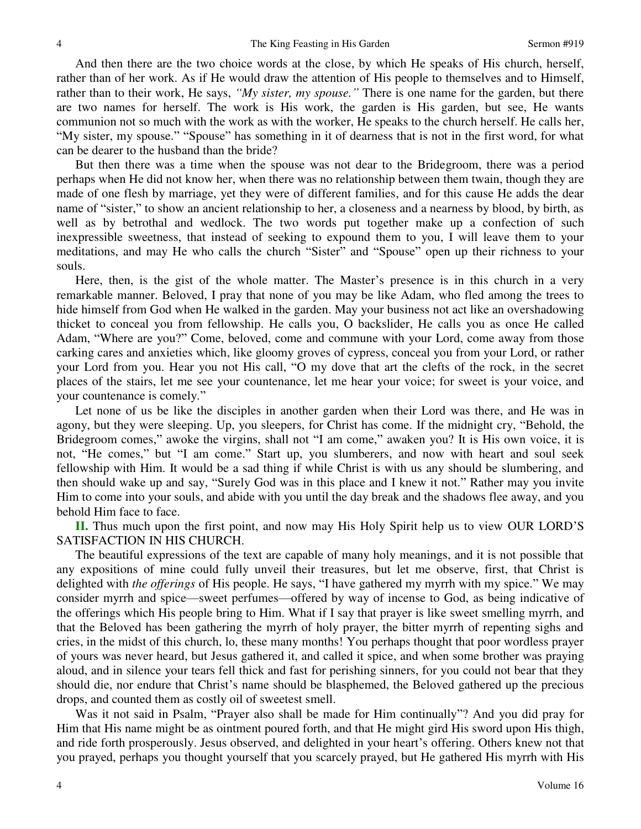And then there are the two choice words at the close, by which He speaks of His church, herself, rather than of her work. As if He would draw the attention of His people to themselves and to Himself, rather than to their work, He says, *"My sister, my spouse."* There is one name for the garden, but there are two names for herself. The work is His work, the garden is His garden, but see, He wants communion not so much with the work as with the worker, He speaks to the church herself. He calls her, "My sister, my spouse." "Spouse" has something in it of dearness that is not in the first word, for what can be dearer to the husband than the bride?

But then there was a time when the spouse was not dear to the Bridegroom, there was a period perhaps when He did not know her, when there was no relationship between them twain, though they are made of one flesh by marriage, yet they were of different families, and for this cause He adds the dear name of "sister," to show an ancient relationship to her, a closeness and a nearness by blood, by birth, as well as by betrothal and wedlock. The two words put together make up a confection of such inexpressible sweetness, that instead of seeking to expound them to you, I will leave them to your meditations, and may He who calls the church "Sister" and "Spouse" open up their richness to your souls.

Here, then, is the gist of the whole matter. The Master's presence is in this church in a very remarkable manner. Beloved, I pray that none of you may be like Adam, who fled among the trees to hide himself from God when He walked in the garden. May your business not act like an overshadowing thicket to conceal you from fellowship. He calls you, O backslider, He calls you as once He called Adam, "Where are you?" Come, beloved, come and commune with your Lord, come away from those carking cares and anxieties which, like gloomy groves of cypress, conceal you from your Lord, or rather your Lord from you. Hear you not His call, "O my dove that art the clefts of the rock, in the secret places of the stairs, let me see your countenance, let me hear your voice; for sweet is your voice, and your countenance is comely."

Let none of us be like the disciples in another garden when their Lord was there, and He was in agony, but they were sleeping. Up, you sleepers, for Christ has come. If the midnight cry, "Behold, the Bridegroom comes," awoke the virgins, shall not "I am come," awaken you? It is His own voice, it is not, "He comes," but "I am come." Start up, you slumberers, and now with heart and soul seek fellowship with Him. It would be a sad thing if while Christ is with us any should be slumbering, and then should wake up and say, "Surely God was in this place and I knew it not." Rather may you invite Him to come into your souls, and abide with you until the day break and the shadows flee away, and you behold Him face to face.

**II.** Thus much upon the first point, and now may His Holy Spirit help us to view OUR LORD'S SATISFACTION IN HIS CHURCH.

The beautiful expressions of the text are capable of many holy meanings, and it is not possible that any expositions of mine could fully unveil their treasures, but let me observe, first, that Christ is delighted with *the offerings* of His people. He says, "I have gathered my myrrh with my spice." We may consider myrrh and spice—sweet perfumes—offered by way of incense to God, as being indicative of the offerings which His people bring to Him. What if I say that prayer is like sweet smelling myrrh, and that the Beloved has been gathering the myrrh of holy prayer, the bitter myrrh of repenting sighs and cries, in the midst of this church, lo, these many months! You perhaps thought that poor wordless prayer of yours was never heard, but Jesus gathered it, and called it spice, and when some brother was praying aloud, and in silence your tears fell thick and fast for perishing sinners, for you could not bear that they should die, nor endure that Christ's name should be blasphemed, the Beloved gathered up the precious drops, and counted them as costly oil of sweetest smell.

Was it not said in Psalm, "Prayer also shall be made for Him continually"? And you did pray for Him that His name might be as ointment poured forth, and that He might gird His sword upon His thigh, and ride forth prosperously. Jesus observed, and delighted in your heart's offering. Others knew not that you prayed, perhaps you thought yourself that you scarcely prayed, but He gathered His myrrh with His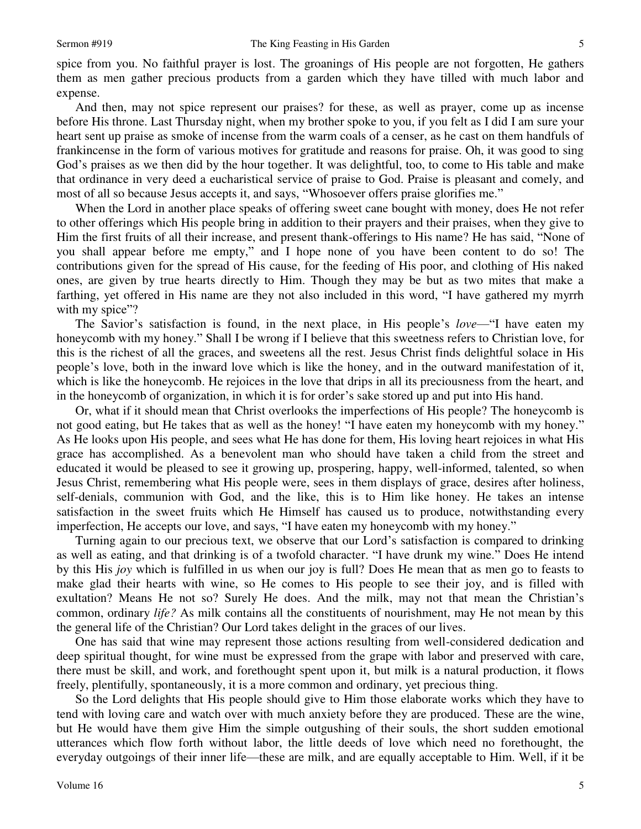spice from you. No faithful prayer is lost. The groanings of His people are not forgotten, He gathers them as men gather precious products from a garden which they have tilled with much labor and expense.

And then, may not spice represent our praises? for these, as well as prayer, come up as incense before His throne. Last Thursday night, when my brother spoke to you, if you felt as I did I am sure your heart sent up praise as smoke of incense from the warm coals of a censer, as he cast on them handfuls of frankincense in the form of various motives for gratitude and reasons for praise. Oh, it was good to sing God's praises as we then did by the hour together. It was delightful, too, to come to His table and make that ordinance in very deed a eucharistical service of praise to God. Praise is pleasant and comely, and most of all so because Jesus accepts it, and says, "Whosoever offers praise glorifies me."

When the Lord in another place speaks of offering sweet cane bought with money, does He not refer to other offerings which His people bring in addition to their prayers and their praises, when they give to Him the first fruits of all their increase, and present thank-offerings to His name? He has said, "None of you shall appear before me empty," and I hope none of you have been content to do so! The contributions given for the spread of His cause, for the feeding of His poor, and clothing of His naked ones, are given by true hearts directly to Him. Though they may be but as two mites that make a farthing, yet offered in His name are they not also included in this word, "I have gathered my myrrh with my spice"?

The Savior's satisfaction is found, in the next place, in His people's *love*—"I have eaten my honeycomb with my honey." Shall I be wrong if I believe that this sweetness refers to Christian love, for this is the richest of all the graces, and sweetens all the rest. Jesus Christ finds delightful solace in His people's love, both in the inward love which is like the honey, and in the outward manifestation of it, which is like the honeycomb. He rejoices in the love that drips in all its preciousness from the heart, and in the honeycomb of organization, in which it is for order's sake stored up and put into His hand.

Or, what if it should mean that Christ overlooks the imperfections of His people? The honeycomb is not good eating, but He takes that as well as the honey! "I have eaten my honeycomb with my honey." As He looks upon His people, and sees what He has done for them, His loving heart rejoices in what His grace has accomplished. As a benevolent man who should have taken a child from the street and educated it would be pleased to see it growing up, prospering, happy, well-informed, talented, so when Jesus Christ, remembering what His people were, sees in them displays of grace, desires after holiness, self-denials, communion with God, and the like, this is to Him like honey. He takes an intense satisfaction in the sweet fruits which He Himself has caused us to produce, notwithstanding every imperfection, He accepts our love, and says, "I have eaten my honeycomb with my honey."

Turning again to our precious text, we observe that our Lord's satisfaction is compared to drinking as well as eating, and that drinking is of a twofold character. "I have drunk my wine." Does He intend by this His *joy* which is fulfilled in us when our joy is full? Does He mean that as men go to feasts to make glad their hearts with wine, so He comes to His people to see their joy, and is filled with exultation? Means He not so? Surely He does. And the milk, may not that mean the Christian's common, ordinary *life?* As milk contains all the constituents of nourishment, may He not mean by this the general life of the Christian? Our Lord takes delight in the graces of our lives.

One has said that wine may represent those actions resulting from well-considered dedication and deep spiritual thought, for wine must be expressed from the grape with labor and preserved with care, there must be skill, and work, and forethought spent upon it, but milk is a natural production, it flows freely, plentifully, spontaneously, it is a more common and ordinary, yet precious thing.

So the Lord delights that His people should give to Him those elaborate works which they have to tend with loving care and watch over with much anxiety before they are produced. These are the wine, but He would have them give Him the simple outgushing of their souls, the short sudden emotional utterances which flow forth without labor, the little deeds of love which need no forethought, the everyday outgoings of their inner life—these are milk, and are equally acceptable to Him. Well, if it be

5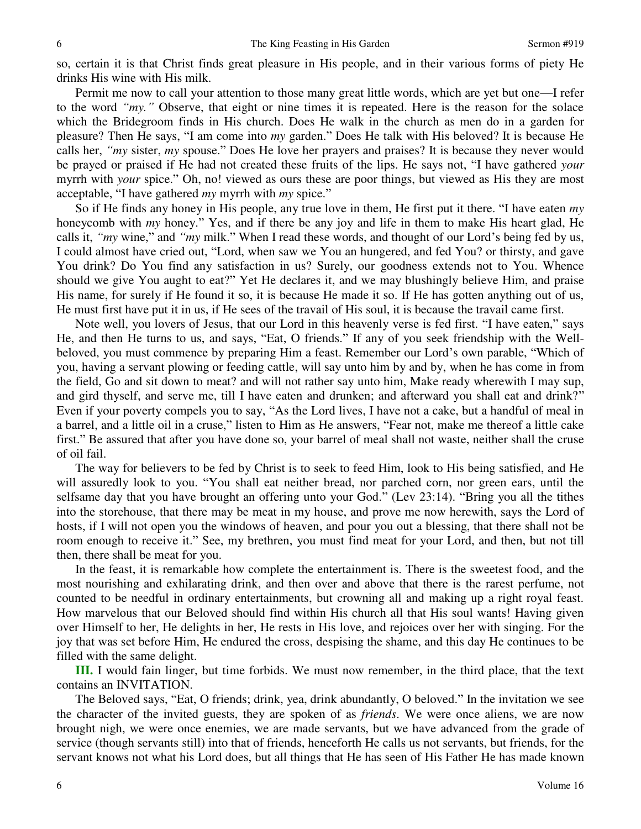so, certain it is that Christ finds great pleasure in His people, and in their various forms of piety He drinks His wine with His milk.

Permit me now to call your attention to those many great little words, which are yet but one—I refer to the word *"my."* Observe, that eight or nine times it is repeated. Here is the reason for the solace which the Bridegroom finds in His church. Does He walk in the church as men do in a garden for pleasure? Then He says, "I am come into *my* garden." Does He talk with His beloved? It is because He calls her, *"my* sister, *my* spouse." Does He love her prayers and praises? It is because they never would be prayed or praised if He had not created these fruits of the lips. He says not, "I have gathered *your* myrrh with *your* spice." Oh, no! viewed as ours these are poor things, but viewed as His they are most acceptable, "I have gathered *my* myrrh with *my* spice."

So if He finds any honey in His people, any true love in them, He first put it there. "I have eaten *my* honeycomb with *my* honey." Yes, and if there be any joy and life in them to make His heart glad, He calls it, *"my* wine," and *"my* milk." When I read these words, and thought of our Lord's being fed by us, I could almost have cried out, "Lord, when saw we You an hungered, and fed You? or thirsty, and gave You drink? Do You find any satisfaction in us? Surely, our goodness extends not to You. Whence should we give You aught to eat?" Yet He declares it, and we may blushingly believe Him, and praise His name, for surely if He found it so, it is because He made it so. If He has gotten anything out of us, He must first have put it in us, if He sees of the travail of His soul, it is because the travail came first.

Note well, you lovers of Jesus, that our Lord in this heavenly verse is fed first. "I have eaten," says He, and then He turns to us, and says, "Eat, O friends." If any of you seek friendship with the Wellbeloved, you must commence by preparing Him a feast. Remember our Lord's own parable, "Which of you, having a servant plowing or feeding cattle, will say unto him by and by, when he has come in from the field, Go and sit down to meat? and will not rather say unto him, Make ready wherewith I may sup, and gird thyself, and serve me, till I have eaten and drunken; and afterward you shall eat and drink?" Even if your poverty compels you to say, "As the Lord lives, I have not a cake, but a handful of meal in a barrel, and a little oil in a cruse," listen to Him as He answers, "Fear not, make me thereof a little cake first." Be assured that after you have done so, your barrel of meal shall not waste, neither shall the cruse of oil fail.

The way for believers to be fed by Christ is to seek to feed Him, look to His being satisfied, and He will assuredly look to you. "You shall eat neither bread, nor parched corn, nor green ears, until the selfsame day that you have brought an offering unto your God." (Lev 23:14). "Bring you all the tithes into the storehouse, that there may be meat in my house, and prove me now herewith, says the Lord of hosts, if I will not open you the windows of heaven, and pour you out a blessing, that there shall not be room enough to receive it." See, my brethren, you must find meat for your Lord, and then, but not till then, there shall be meat for you.

In the feast, it is remarkable how complete the entertainment is. There is the sweetest food, and the most nourishing and exhilarating drink, and then over and above that there is the rarest perfume, not counted to be needful in ordinary entertainments, but crowning all and making up a right royal feast. How marvelous that our Beloved should find within His church all that His soul wants! Having given over Himself to her, He delights in her, He rests in His love, and rejoices over her with singing. For the joy that was set before Him, He endured the cross, despising the shame, and this day He continues to be filled with the same delight.

**III.** I would fain linger, but time forbids. We must now remember, in the third place, that the text contains an INVITATION.

The Beloved says, "Eat, O friends; drink, yea, drink abundantly, O beloved." In the invitation we see the character of the invited guests, they are spoken of as *friends*. We were once aliens, we are now brought nigh, we were once enemies, we are made servants, but we have advanced from the grade of service (though servants still) into that of friends, henceforth He calls us not servants, but friends, for the servant knows not what his Lord does, but all things that He has seen of His Father He has made known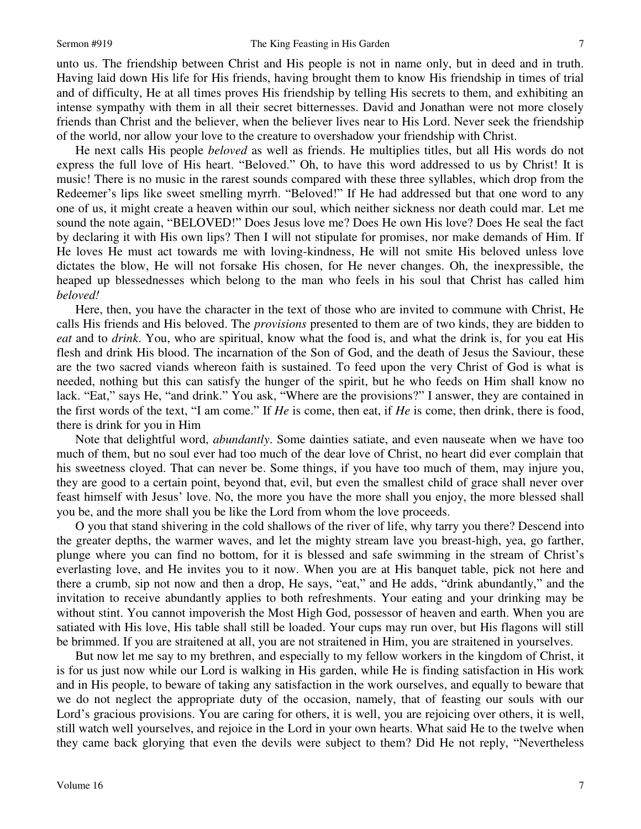unto us. The friendship between Christ and His people is not in name only, but in deed and in truth. Having laid down His life for His friends, having brought them to know His friendship in times of trial and of difficulty, He at all times proves His friendship by telling His secrets to them, and exhibiting an intense sympathy with them in all their secret bitternesses. David and Jonathan were not more closely friends than Christ and the believer, when the believer lives near to His Lord. Never seek the friendship of the world, nor allow your love to the creature to overshadow your friendship with Christ.

He next calls His people *beloved* as well as friends. He multiplies titles, but all His words do not express the full love of His heart. "Beloved." Oh, to have this word addressed to us by Christ! It is music! There is no music in the rarest sounds compared with these three syllables, which drop from the Redeemer's lips like sweet smelling myrrh. "Beloved!" If He had addressed but that one word to any one of us, it might create a heaven within our soul, which neither sickness nor death could mar. Let me sound the note again, "BELOVED!" Does Jesus love me? Does He own His love? Does He seal the fact by declaring it with His own lips? Then I will not stipulate for promises, nor make demands of Him. If He loves He must act towards me with loving-kindness, He will not smite His beloved unless love dictates the blow, He will not forsake His chosen, for He never changes. Oh, the inexpressible, the heaped up blessednesses which belong to the man who feels in his soul that Christ has called him *beloved!*

Here, then, you have the character in the text of those who are invited to commune with Christ, He calls His friends and His beloved. The *provisions* presented to them are of two kinds, they are bidden to *eat* and to *drink*. You, who are spiritual, know what the food is, and what the drink is, for you eat His flesh and drink His blood. The incarnation of the Son of God, and the death of Jesus the Saviour, these are the two sacred viands whereon faith is sustained. To feed upon the very Christ of God is what is needed, nothing but this can satisfy the hunger of the spirit, but he who feeds on Him shall know no lack. "Eat," says He, "and drink." You ask, "Where are the provisions?" I answer, they are contained in the first words of the text, "I am come." If *He* is come, then eat, if *He* is come, then drink, there is food, there is drink for you in Him

Note that delightful word, *abundantly*. Some dainties satiate, and even nauseate when we have too much of them, but no soul ever had too much of the dear love of Christ, no heart did ever complain that his sweetness cloyed. That can never be. Some things, if you have too much of them, may injure you, they are good to a certain point, beyond that, evil, but even the smallest child of grace shall never over feast himself with Jesus' love. No, the more you have the more shall you enjoy, the more blessed shall you be, and the more shall you be like the Lord from whom the love proceeds.

O you that stand shivering in the cold shallows of the river of life, why tarry you there? Descend into the greater depths, the warmer waves, and let the mighty stream lave you breast-high, yea, go farther, plunge where you can find no bottom, for it is blessed and safe swimming in the stream of Christ's everlasting love, and He invites you to it now. When you are at His banquet table, pick not here and there a crumb, sip not now and then a drop, He says, "eat," and He adds, "drink abundantly," and the invitation to receive abundantly applies to both refreshments. Your eating and your drinking may be without stint. You cannot impoverish the Most High God, possessor of heaven and earth. When you are satiated with His love, His table shall still be loaded. Your cups may run over, but His flagons will still be brimmed. If you are straitened at all, you are not straitened in Him, you are straitened in yourselves.

But now let me say to my brethren, and especially to my fellow workers in the kingdom of Christ, it is for us just now while our Lord is walking in His garden, while He is finding satisfaction in His work and in His people, to beware of taking any satisfaction in the work ourselves, and equally to beware that we do not neglect the appropriate duty of the occasion, namely, that of feasting our souls with our Lord's gracious provisions. You are caring for others, it is well, you are rejoicing over others, it is well, still watch well yourselves, and rejoice in the Lord in your own hearts. What said He to the twelve when they came back glorying that even the devils were subject to them? Did He not reply, "Nevertheless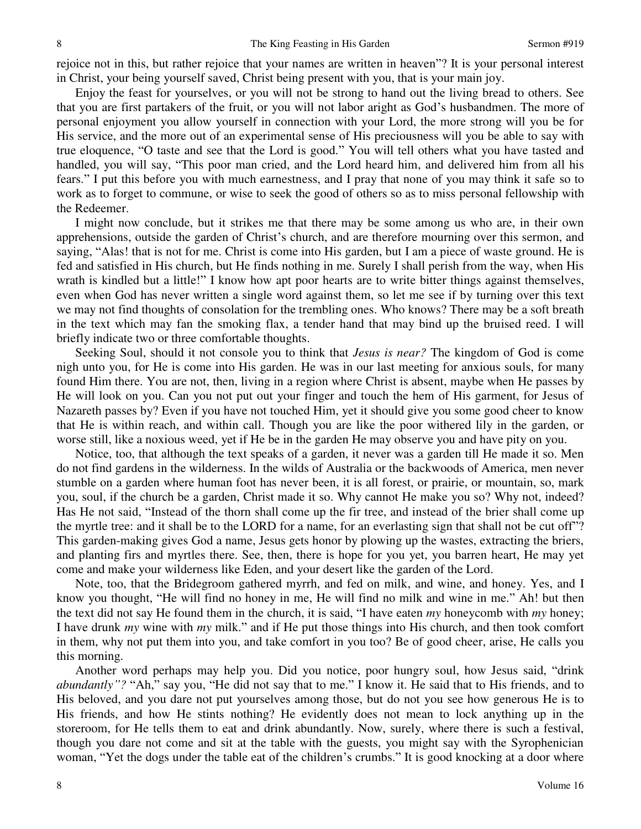rejoice not in this, but rather rejoice that your names are written in heaven"? It is your personal interest in Christ, your being yourself saved, Christ being present with you, that is your main joy.

Enjoy the feast for yourselves, or you will not be strong to hand out the living bread to others. See that you are first partakers of the fruit, or you will not labor aright as God's husbandmen. The more of personal enjoyment you allow yourself in connection with your Lord, the more strong will you be for His service, and the more out of an experimental sense of His preciousness will you be able to say with true eloquence, "O taste and see that the Lord is good." You will tell others what you have tasted and handled, you will say, "This poor man cried, and the Lord heard him, and delivered him from all his fears." I put this before you with much earnestness, and I pray that none of you may think it safe so to work as to forget to commune, or wise to seek the good of others so as to miss personal fellowship with the Redeemer.

I might now conclude, but it strikes me that there may be some among us who are, in their own apprehensions, outside the garden of Christ's church, and are therefore mourning over this sermon, and saying, "Alas! that is not for me. Christ is come into His garden, but I am a piece of waste ground. He is fed and satisfied in His church, but He finds nothing in me. Surely I shall perish from the way, when His wrath is kindled but a little!" I know how apt poor hearts are to write bitter things against themselves, even when God has never written a single word against them, so let me see if by turning over this text we may not find thoughts of consolation for the trembling ones. Who knows? There may be a soft breath in the text which may fan the smoking flax, a tender hand that may bind up the bruised reed. I will briefly indicate two or three comfortable thoughts.

Seeking Soul, should it not console you to think that *Jesus is near?* The kingdom of God is come nigh unto you, for He is come into His garden. He was in our last meeting for anxious souls, for many found Him there. You are not, then, living in a region where Christ is absent, maybe when He passes by He will look on you. Can you not put out your finger and touch the hem of His garment, for Jesus of Nazareth passes by? Even if you have not touched Him, yet it should give you some good cheer to know that He is within reach, and within call. Though you are like the poor withered lily in the garden, or worse still, like a noxious weed, yet if He be in the garden He may observe you and have pity on you.

Notice, too, that although the text speaks of a garden, it never was a garden till He made it so. Men do not find gardens in the wilderness. In the wilds of Australia or the backwoods of America, men never stumble on a garden where human foot has never been, it is all forest, or prairie, or mountain, so, mark you, soul, if the church be a garden, Christ made it so. Why cannot He make you so? Why not, indeed? Has He not said, "Instead of the thorn shall come up the fir tree, and instead of the brier shall come up the myrtle tree: and it shall be to the LORD for a name, for an everlasting sign that shall not be cut off"? This garden-making gives God a name, Jesus gets honor by plowing up the wastes, extracting the briers, and planting firs and myrtles there. See, then, there is hope for you yet, you barren heart, He may yet come and make your wilderness like Eden, and your desert like the garden of the Lord.

Note, too, that the Bridegroom gathered myrrh, and fed on milk, and wine, and honey. Yes, and I know you thought, "He will find no honey in me, He will find no milk and wine in me." Ah! but then the text did not say He found them in the church, it is said, "I have eaten *my* honeycomb with *my* honey; I have drunk *my* wine with *my* milk." and if He put those things into His church, and then took comfort in them, why not put them into you, and take comfort in you too? Be of good cheer, arise, He calls you this morning.

Another word perhaps may help you. Did you notice, poor hungry soul, how Jesus said, "drink *abundantly"?* "Ah," say you, "He did not say that to me." I know it. He said that to His friends, and to His beloved, and you dare not put yourselves among those, but do not you see how generous He is to His friends, and how He stints nothing? He evidently does not mean to lock anything up in the storeroom, for He tells them to eat and drink abundantly. Now, surely, where there is such a festival, though you dare not come and sit at the table with the guests, you might say with the Syrophenician woman, "Yet the dogs under the table eat of the children's crumbs." It is good knocking at a door where